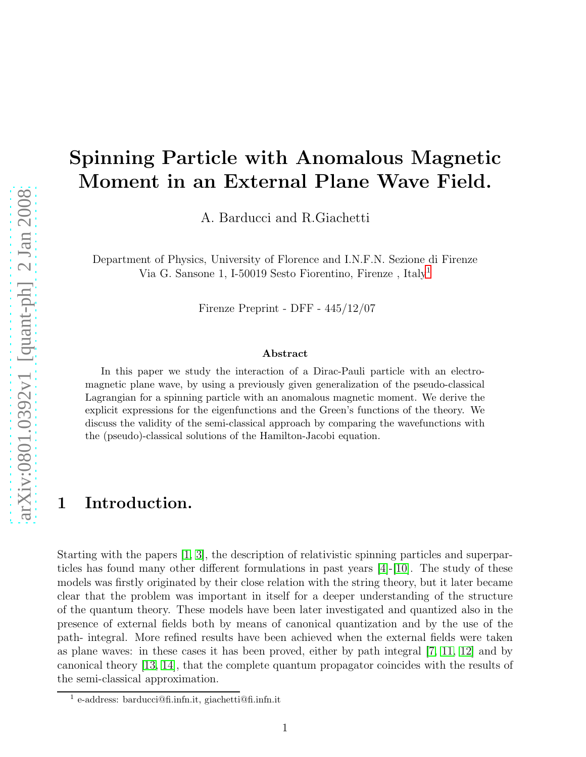# Spinning Particle with Anomalous Magnetic Moment in an External Plane Wave Field.

A. Barducci and R.Giachetti

Department of Physics, University of Florence and I.N.F.N. Sezione di Firenze Via G. Sansone 1, I-50019 Sesto Fiorentino, Firenze , Italy[1](#page-0-0)

Firenze Preprint - DFF - 445/12/07

#### Abstract

In this paper we study the interaction of a Dirac-Pauli particle with an electromagnetic plane wave, by using a previously given generalization of the pseudo-classical Lagrangian for a spinning particle with an anomalous magnetic moment. We derive the explicit expressions for the eigenfunctions and the Green's functions of the theory. We discuss the validity of the semi-classical approach by comparing the wavefunctions with the (pseudo)-classical solutions of the Hamilton-Jacobi equation.

## 1 Introduction.

Starting with the papers [\[1,](#page-9-0) [3\]](#page-9-1), the description of relativistic spinning particles and superparticles has found many other different formulations in past years  $[4]-[10]$  $[4]-[10]$ . The study of these models was firstly originated by their close relation with the string theory, but it later became clear that the problem was important in itself for a deeper understanding of the structure of the quantum theory. These models have been later investigated and quantized also in the presence of external fields both by means of canonical quantization and by the use of the path- integral. More refined results have been achieved when the external fields were taken as plane waves: in these cases it has been proved, either by path integral [\[7,](#page-9-4) [11,](#page-9-5) [12\]](#page-9-6) and by canonical theory [\[13,](#page-9-7) [14\]](#page-9-8), that the complete quantum propagator coincides with the results of the semi-classical approximation.

<span id="page-0-0"></span><sup>1</sup> e-address: barducci@fi.infn.it, giachetti@fi.infn.it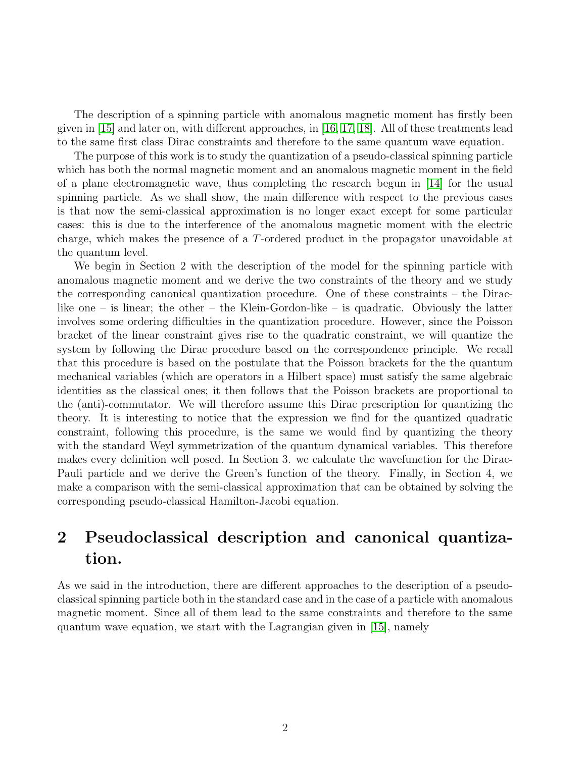The description of a spinning particle with anomalous magnetic moment has firstly been given in  $(15)$  and later on, with different approaches, in  $(16, 17, 18)$  $(16, 17, 18)$  $(16, 17, 18)$ . All of these treatments lead to the same first class Dirac constraints and therefore to the same quantum wave equation.

The purpose of this work is to study the quantization of a pseudo-classical spinning particle which has both the normal magnetic moment and an anomalous magnetic moment in the field of a plane electromagnetic wave, thus completing the research begun in [\[14\]](#page-9-8) for the usual spinning particle. As we shall show, the main difference with respect to the previous cases is that now the semi-classical approximation is no longer exact except for some particular cases: this is due to the interference of the anomalous magnetic moment with the electric charge, which makes the presence of a T-ordered product in the propagator unavoidable at the quantum level.

We begin in Section 2 with the description of the model for the spinning particle with anomalous magnetic moment and we derive the two constraints of the theory and we study the corresponding canonical quantization procedure. One of these constraints – the Diraclike one – is linear; the other – the Klein-Gordon-like – is quadratic. Obviously the latter involves some ordering difficulties in the quantization procedure. However, since the Poisson bracket of the linear constraint gives rise to the quadratic constraint, we will quantize the system by following the Dirac procedure based on the correspondence principle. We recall that this procedure is based on the postulate that the Poisson brackets for the the quantum mechanical variables (which are operators in a Hilbert space) must satisfy the same algebraic identities as the classical ones; it then follows that the Poisson brackets are proportional to the (anti)-commutator. We will therefore assume this Dirac prescription for quantizing the theory. It is interesting to notice that the expression we find for the quantized quadratic constraint, following this procedure, is the same we would find by quantizing the theory with the standard Weyl symmetrization of the quantum dynamical variables. This therefore makes every definition well posed. In Section 3. we calculate the wavefunction for the Dirac-Pauli particle and we derive the Green's function of the theory. Finally, in Section 4, we make a comparison with the semi-classical approximation that can be obtained by solving the corresponding pseudo-classical Hamilton-Jacobi equation.

## 2 Pseudoclassical description and canonical quantization.

As we said in the introduction, there are different approaches to the description of a pseudoclassical spinning particle both in the standard case and in the case of a particle with anomalous magnetic moment. Since all of them lead to the same constraints and therefore to the same quantum wave equation, we start with the Lagrangian given in [\[15\]](#page-9-9), namely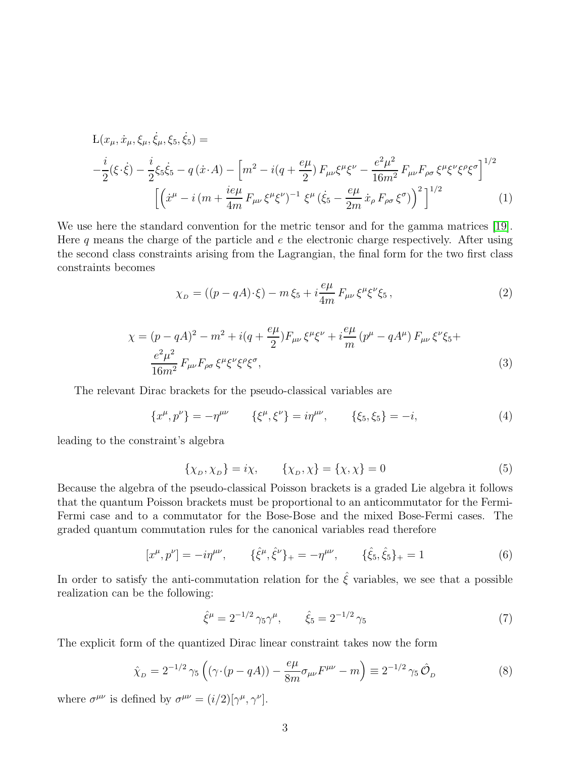$$
L(x_{\mu}, \dot{x}_{\mu}, \xi_{\mu}, \dot{\xi}_{\mu}, \xi_{5}, \dot{\xi}_{5}) =
$$
  

$$
-\frac{i}{2}(\xi \cdot \dot{\xi}) - \frac{i}{2}\xi_{5}\dot{\xi}_{5} - q(\dot{x} \cdot A) - \left[m^{2} - i(q + \frac{e\mu}{2})F_{\mu\nu}\xi^{\mu}\xi^{\nu} - \frac{e^{2}\mu^{2}}{16m^{2}}F_{\mu\nu}F_{\rho\sigma}\xi^{\mu}\xi^{\nu}\xi^{\rho}\xi^{\sigma}\right]^{1/2}
$$

$$
\left[\left(\dot{x}^{\mu} - i(m + \frac{ie\mu}{4m}F_{\mu\nu}\xi^{\mu}\xi^{\nu})^{-1}\xi^{\mu}(\dot{\xi}_{5} - \frac{e\mu}{2m}\dot{x}_{\rho}F_{\rho\sigma}\xi^{\sigma})\right)^{2}\right]^{1/2}
$$
(1)

We use here the standard convention for the metric tensor and for the gamma matrices [\[19\]](#page-9-13). Here q means the charge of the particle and  $e$  the electronic charge respectively. After using the second class constraints arising from the Lagrangian, the final form for the two first class constraints becomes

$$
\chi_{D} = ((p - qA) \cdot \xi) - m \xi_{5} + i \frac{e\mu}{4m} F_{\mu\nu} \xi^{\mu} \xi^{\nu} \xi_{5}, \qquad (2)
$$

$$
\chi = (p - qA)^2 - m^2 + i(q + \frac{e\mu}{2})F_{\mu\nu}\xi^{\mu}\xi^{\nu} + i\frac{e\mu}{m}(p^{\mu} - qA^{\mu})F_{\mu\nu}\xi^{\nu}\xi_5 + \frac{e^2\mu^2}{16m^2}F_{\mu\nu}F_{\rho\sigma}\xi^{\mu}\xi^{\nu}\xi^{\rho}\xi^{\sigma},
$$
\n(3)

The relevant Dirac brackets for the pseudo-classical variables are

$$
\{x^{\mu}, p^{\nu}\} = -\eta^{\mu\nu} \qquad \{\xi^{\mu}, \xi^{\nu}\} = i\eta^{\mu\nu}, \qquad \{\xi_5, \xi_5\} = -i,\tag{4}
$$

leading to the constraint's algebra

<span id="page-2-0"></span>
$$
\{\chi_D, \chi_D\} = i\chi, \qquad \{\chi_D, \chi\} = \{\chi, \chi\} = 0 \tag{5}
$$

Because the algebra of the pseudo-classical Poisson brackets is a graded Lie algebra it follows that the quantum Poisson brackets must be proportional to an anticommutator for the Fermi-Fermi case and to a commutator for the Bose-Bose and the mixed Bose-Fermi cases. The graded quantum commutation rules for the canonical variables read therefore

$$
[x^{\mu}, p^{\nu}] = -i\eta^{\mu\nu}, \qquad {\hat{\xi}^{\mu}, \hat{\xi}^{\nu}}_{+} = -\eta^{\mu\nu}, \qquad {\hat{\xi}_{5}, \hat{\xi}_{5}}_{+} = 1 \tag{6}
$$

In order to satisfy the anti-commutation relation for the  $\hat{\xi}$  variables, we see that a possible realization can be the following:

<span id="page-2-2"></span>
$$
\hat{\xi}^{\mu} = 2^{-1/2} \gamma_5 \gamma^{\mu}, \qquad \hat{\xi}_5 = 2^{-1/2} \gamma_5 \tag{7}
$$

The explicit form of the quantized Dirac linear constraint takes now the form

<span id="page-2-1"></span>
$$
\hat{\chi}_D = 2^{-1/2} \gamma_5 \left( (\gamma \cdot (p - qA)) - \frac{e\mu}{8m} \sigma_{\mu\nu} F^{\mu\nu} - m \right) \equiv 2^{-1/2} \gamma_5 \hat{\mathcal{O}}_D \tag{8}
$$

where  $\sigma^{\mu\nu}$  is defined by  $\sigma^{\mu\nu} = (i/2)[\gamma^{\mu}, \gamma^{\nu}]$ .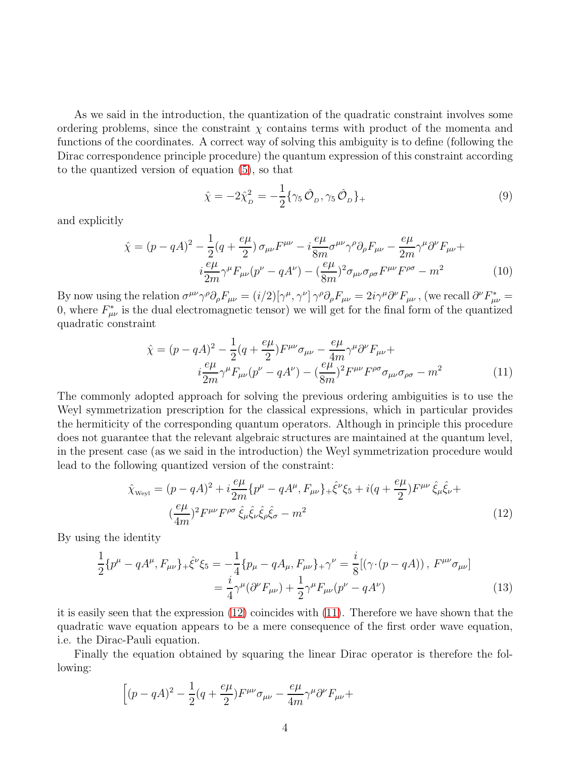As we said in the introduction, the quantization of the quadratic constraint involves some ordering problems, since the constraint  $\chi$  contains terms with product of the momenta and functions of the coordinates. A correct way of solving this ambiguity is to define (following the Dirac correspondence principle procedure) the quantum expression of this constraint according to the quantized version of equation [\(5\)](#page-2-0), so that

<span id="page-3-2"></span>
$$
\hat{\chi} = -2\hat{\chi}_D^2 = -\frac{1}{2} \{ \gamma_5 \hat{\mathcal{O}}_D, \gamma_5 \hat{\mathcal{O}}_D \}_+ \tag{9}
$$

and explicitly

$$
\hat{\chi} = (p - qA)^2 - \frac{1}{2}(q + \frac{e\mu}{2})\sigma_{\mu\nu}F^{\mu\nu} - i\frac{e\mu}{8m}\sigma^{\mu\nu}\gamma^\rho\partial_\rho F_{\mu\nu} - \frac{e\mu}{2m}\gamma^\mu\partial^\nu F_{\mu\nu} + i\frac{e\mu}{2m}\gamma^\mu F_{\mu\nu}(p^\nu - qA^\nu) - (\frac{e\mu}{8m})^2\sigma_{\mu\nu}\sigma_{\rho\sigma}F^{\mu\nu}F^{\rho\sigma} - m^2
$$
\n(10)

By now using the relation  $\sigma^{\mu\nu}\gamma^{\rho}\partial_{\rho}F_{\mu\nu} = (i/2)[\gamma^{\mu}, \gamma^{\nu}]\gamma^{\rho}\partial_{\rho}F_{\mu\nu} = 2i\gamma^{\mu}\partial^{\nu}F_{\mu\nu}$ , (we recall  $\partial^{\nu}F_{\mu\nu}^* =$ 0, where  $F_{\mu\nu}^*$  is the dual electromagnetic tensor) we will get for the final form of the quantized quadratic constraint

<span id="page-3-1"></span>
$$
\hat{\chi} = (p - qA)^2 - \frac{1}{2}(q + \frac{e\mu}{2})F^{\mu\nu}\sigma_{\mu\nu} - \frac{e\mu}{4m}\gamma^{\mu}\partial^{\nu}F_{\mu\nu} + \ni\frac{e\mu}{2m}\gamma^{\mu}F_{\mu\nu}(p^{\nu} - qA^{\nu}) - (\frac{e\mu}{8m})^2F^{\mu\nu}F^{\rho\sigma}\sigma_{\mu\nu}\sigma_{\rho\sigma} - m^2
$$
\n(11)

The commonly adopted approach for solving the previous ordering ambiguities is to use the Weyl symmetrization prescription for the classical expressions, which in particular provides the hermiticity of the corresponding quantum operators. Although in principle this procedure does not guarantee that the relevant algebraic structures are maintained at the quantum level, in the present case (as we said in the introduction) the Weyl symmetrization procedure would lead to the following quantized version of the constraint:

<span id="page-3-0"></span>
$$
\hat{\chi}_{\text{Weyl}} = (p - qA)^2 + i \frac{e\mu}{2m} \{p^{\mu} - qA^{\mu}, F_{\mu\nu}\}_+ \hat{\xi}^{\nu} \xi_5 + i(q + \frac{e\mu}{2}) F^{\mu\nu} \hat{\xi}_{\mu} \hat{\xi}_{\nu} +
$$
\n
$$
(\frac{e\mu}{4m})^2 F^{\mu\nu} F^{\rho\sigma} \hat{\xi}_{\mu} \hat{\xi}_{\nu} \hat{\xi}_{\rho} \hat{\xi}_{\sigma} - m^2
$$
\n(12)

By using the identity

$$
\frac{1}{2}\{p^{\mu} - qA^{\mu}, F_{\mu\nu}\}_+\hat{\xi}^{\nu}\xi_5 = -\frac{1}{4}\{p_{\mu} - qA_{\mu}, F_{\mu\nu}\}_+\gamma^{\nu} = \frac{i}{8}[(\gamma \cdot (p - qA)), F^{\mu\nu}\sigma_{\mu\nu}]
$$

$$
= \frac{i}{4}\gamma^{\mu}(\partial^{\nu}F_{\mu\nu}) + \frac{1}{2}\gamma^{\mu}F_{\mu\nu}(p^{\nu} - qA^{\nu})
$$
(13)

it is easily seen that the expression [\(12\)](#page-3-0) coincides with [\(11\)](#page-3-1). Therefore we have shown that the quadratic wave equation appears to be a mere consequence of the first order wave equation, i.e. the Dirac-Pauli equation.

Finally the equation obtained by squaring the linear Dirac operator is therefore the following:

$$
\left[ (p - qA)^2 - \frac{1}{2}(q + \frac{e\mu}{2})F^{\mu\nu}\sigma_{\mu\nu} - \frac{e\mu}{4m}\gamma^\mu\partial^\nu F_{\mu\nu} + \right.
$$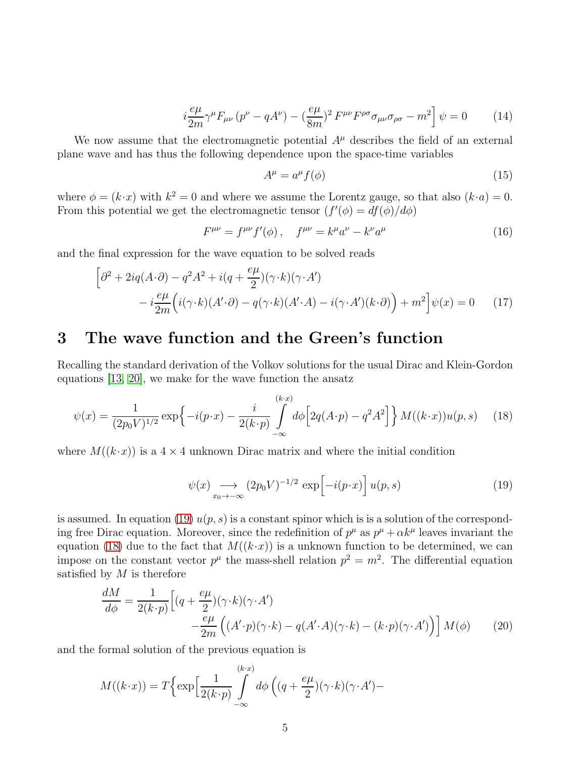$$
i\frac{e\mu}{2m}\gamma^{\mu}F_{\mu\nu}\left(p^{\nu}-qA^{\nu}\right)-\left(\frac{e\mu}{8m}\right)^{2}F^{\mu\nu}F^{\rho\sigma}\sigma_{\mu\nu}\sigma_{\rho\sigma}-m^{2}\right]\psi=0\tag{14}
$$

We now assume that the electromagnetic potential  $A^{\mu}$  describes the field of an external plane wave and has thus the following dependence upon the space-time variables

<span id="page-4-2"></span>
$$
A^{\mu} = a^{\mu} f(\phi) \tag{15}
$$

where  $\phi = (k \cdot x)$  with  $k^2 = 0$  and where we assume the Lorentz gauge, so that also  $(k \cdot a) = 0$ . From this potential we get the electromagnetic tensor  $(f'(\phi) = df(\phi)/d\phi)$ 

$$
F^{\mu\nu} = f^{\mu\nu} f'(\phi) , \quad f^{\mu\nu} = k^{\mu} a^{\nu} - k^{\nu} a^{\mu} \tag{16}
$$

and the final expression for the wave equation to be solved reads

$$
\left[\partial^2 + 2iq(A \cdot \partial) - q^2 A^2 + i(q + \frac{e\mu}{2})(\gamma \cdot k)(\gamma \cdot A')\right]
$$

$$
- i\frac{e\mu}{2m} \left(i(\gamma \cdot k)(A' \cdot \partial) - q(\gamma \cdot k)(A' \cdot A) - i(\gamma \cdot A')(k \cdot \partial)\right) + m^2\right]\psi(x) = 0 \quad (17)
$$

## 3 The wave function and the Green's function

Recalling the standard derivation of the Volkov solutions for the usual Dirac and Klein-Gordon equations [\[13,](#page-9-7) [20\]](#page-9-14), we make for the wave function the ansatz

<span id="page-4-1"></span>
$$
\psi(x) = \frac{1}{(2p_0V)^{1/2}} \exp\left\{-i(p \cdot x) - \frac{i}{2(k \cdot p)} \int_{-\infty}^{(k \cdot x)} d\phi \left[2q(A \cdot p) - q^2 A^2\right]\right\} M((k \cdot x)) u(p, s) \tag{18}
$$

where  $M((k \cdot x))$  is a  $4 \times 4$  unknown Dirac matrix and where the initial condition

<span id="page-4-0"></span>
$$
\psi(x) \underset{x_0 \to -\infty}{\longrightarrow} (2p_0 V)^{-1/2} \exp\left[-i(p \cdot x)\right] u(p, s) \tag{19}
$$

is assumed. In equation [\(19\)](#page-4-0)  $u(p, s)$  is a constant spinor which is is a solution of the corresponding free Dirac equation. Moreover, since the redefinition of  $p^{\mu}$  as  $p^{\mu} + \alpha k^{\mu}$  leaves invariant the equation [\(18\)](#page-4-1) due to the fact that  $M((k \cdot x))$  is a unknown function to be determined, we can impose on the constant vector  $p^{\mu}$  the mass-shell relation  $p^2 = m^2$ . The differential equation satisfied by  $M$  is therefore

<span id="page-4-3"></span>
$$
\frac{dM}{d\phi} = \frac{1}{2(k \cdot p)} \Big[ (q + \frac{e\mu}{2})(\gamma \cdot k)(\gamma \cdot A') - \frac{e\mu}{2m} \left( (A' \cdot p)(\gamma \cdot k) - q(A' \cdot A)(\gamma \cdot k) - (k \cdot p)(\gamma \cdot A') \right) \Big] M(\phi) \tag{20}
$$

and the formal solution of the previous equation is

$$
M((k \cdot x)) = T \left\{ \exp \left[ \frac{1}{2(k \cdot p)} \int\limits_{-\infty}^{(k \cdot x)} d \phi \left( (q + \frac{e \mu}{2}) (\gamma \cdot k) (\gamma \cdot A') - \right. \right. \right.
$$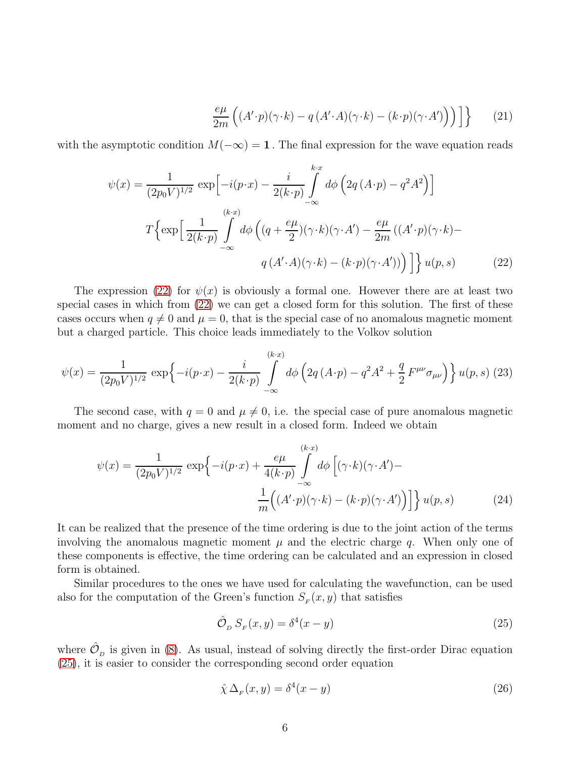$$
\frac{e\mu}{2m}\left((A'\cdot p)(\gamma\cdot k) - q\left(A'\cdot A\right)(\gamma\cdot k) - (k\cdot p)(\gamma\cdot A')\right)\Big]\Big\}\tag{21}
$$

with the asymptotic condition  $M(-\infty) = 1$ . The final expression for the wave equation reads

<span id="page-5-0"></span>
$$
\psi(x) = \frac{1}{(2p_0V)^{1/2}} \exp\left[-i(p \cdot x) - \frac{i}{2(k \cdot p)} \int_{-\infty}^{k \cdot x} d\phi \left(2q(A \cdot p) - q^2 A^2\right)\right]
$$

$$
T\left\{\exp\left[\frac{1}{2(k \cdot p)} \int_{-\infty}^{(k \cdot x)} d\phi \left((q + \frac{e\mu}{2})(\gamma \cdot k)(\gamma \cdot A') - \frac{e\mu}{2m} \left((A' \cdot p)(\gamma \cdot k) - q^2 A^2\right)\right]\right\}
$$

$$
q(A' \cdot A)(\gamma \cdot k) - (k \cdot p)(\gamma \cdot A'))\right)\right\} u(p, s) \tag{22}
$$

The expression [\(22\)](#page-5-0) for  $\psi(x)$  is obviously a formal one. However there are at least two special cases in which from [\(22\)](#page-5-0) we can get a closed form for this solution. The first of these cases occurs when  $q \neq 0$  and  $\mu = 0$ , that is the special case of no anomalous magnetic moment but a charged particle. This choice leads immediately to the Volkov solution

$$
\psi(x) = \frac{1}{(2p_0V)^{1/2}} \exp\left\{-i(p \cdot x) - \frac{i}{2(k \cdot p)} \int_{-\infty}^{(k \cdot x)} d\phi \left(2q \left(A \cdot p\right) - q^2 A^2 + \frac{q}{2} F^{\mu\nu} \sigma_{\mu\nu}\right)\right\} u(p, s) \tag{23}
$$

The second case, with  $q = 0$  and  $\mu \neq 0$ , i.e. the special case of pure anomalous magnetic moment and no charge, gives a new result in a closed form. Indeed we obtain

$$
\psi(x) = \frac{1}{(2p_0V)^{1/2}} \exp\left\{-i(p\cdot x) + \frac{e\mu}{4(k\cdot p)} \int\limits_{-\infty}^{(k\cdot x)} d\phi \left[ (\gamma\cdot k)(\gamma\cdot A') - \frac{1}{m}\left( (A'\cdot p)(\gamma\cdot k) - (k\cdot p)(\gamma\cdot A') \right) \right] \right\} u(p,s)
$$
(24)

It can be realized that the presence of the time ordering is due to the joint action of the terms involving the anomalous magnetic moment  $\mu$  and the electric charge q. When only one of these components is effective, the time ordering can be calculated and an expression in closed form is obtained.

Similar procedures to the ones we have used for calculating the wavefunction, can be used also for the computation of the Green's function  $S<sub>F</sub>(x, y)$  that satisfies

<span id="page-5-1"></span>
$$
\hat{\mathcal{O}}_D S_F(x, y) = \delta^4(x - y) \tag{25}
$$

where  $\hat{\mathcal{O}}_D$  is given in [\(8\)](#page-2-1). As usual, instead of solving directly the first-order Dirac equation [\(25\)](#page-5-1), it is easier to consider the corresponding second order equation

$$
\hat{\chi} \Delta_F(x, y) = \delta^4(x - y) \tag{26}
$$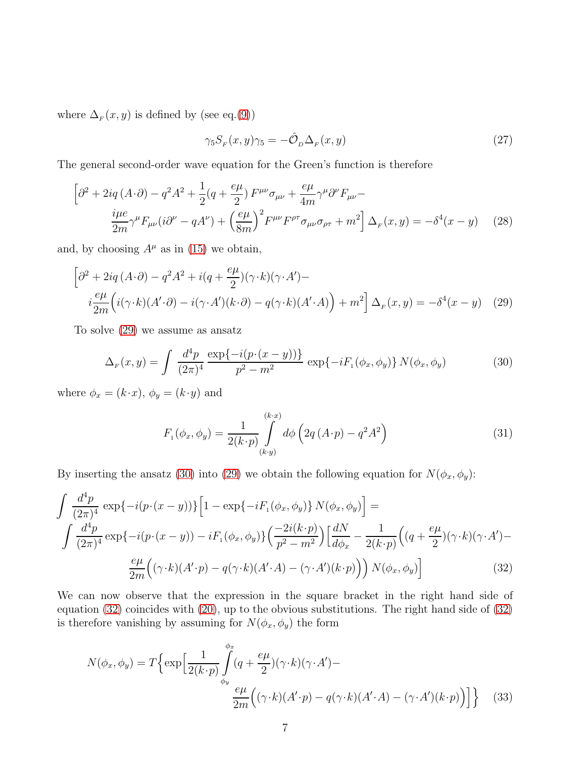where  $\Delta_F(x, y)$  is defined by (see eq.[\(9\)](#page-3-2))

<span id="page-6-4"></span>
$$
\gamma_5 S_F(x, y)\gamma_5 = -\hat{\mathcal{O}}_D \Delta_F(x, y) \tag{27}
$$

The general second-order wave equation for the Green's function is therefore

$$
\left[\partial^2 + 2iq\left(A\cdot\partial\right) - q^2A^2 + \frac{1}{2}(q + \frac{e\mu}{2})F^{\mu\nu}\sigma_{\mu\nu} + \frac{e\mu}{4m}\gamma^\mu\partial^\nu F_{\mu\nu} - \frac{i\mu e}{2m}\gamma^\mu F_{\mu\nu}(i\partial^\nu - qA^\nu) + \left(\frac{e\mu}{8m}\right)^2 F^{\mu\nu}F^{\rho\tau}\sigma_{\mu\nu}\sigma_{\rho\tau} + m^2\right]\Delta_F(x, y) = -\delta^4(x - y) \tag{28}
$$

and, by choosing  $A^{\mu}$  as in [\(15\)](#page-4-2) we obtain,

<span id="page-6-0"></span>
$$
\left[\partial^2 + 2iq\left(A\cdot\partial\right) - q^2A^2 + i(q + \frac{e\mu}{2})(\gamma \cdot k)(\gamma \cdot A') - i\frac{e\mu}{2m}\left(i(\gamma \cdot k)(A'\cdot\partial) - i(\gamma \cdot A')(k\cdot\partial) - q(\gamma \cdot k)(A'\cdot A)\right) + m^2\right]\Delta_F(x, y) = -\delta^4(x - y) \quad (29)
$$

To solve [\(29\)](#page-6-0) we assume as ansatz

<span id="page-6-1"></span>
$$
\Delta_F(x, y) = \int \frac{d^4 p}{(2\pi)^4} \frac{\exp\{-i(p \cdot (x - y))\}}{p^2 - m^2} \exp\{-iF_1(\phi_x, \phi_y)\} N(\phi_x, \phi_y)
$$
(30)

where  $\phi_x = (k \cdot x), \, \phi_y = (k \cdot y)$  and

<span id="page-6-3"></span>
$$
F_1(\phi_x, \phi_y) = \frac{1}{2(k \cdot p)} \int_{(k \cdot y)}^{(k \cdot x)} d\phi \left( 2q \left( A \cdot p \right) - q^2 A^2 \right)
$$
 (31)

By inserting the ansatz [\(30\)](#page-6-1) into [\(29\)](#page-6-0) we obtain the following equation for  $N(\phi_x, \phi_y)$ :

<span id="page-6-2"></span>
$$
\int \frac{d^4p}{(2\pi)^4} \exp\{-i(p\cdot(x-y))\}\left[1 - \exp\{-iF_1(\phi_x, \phi_y)\} N(\phi_x, \phi_y)\right] =
$$
\n
$$
\int \frac{d^4p}{(2\pi)^4} \exp\{-i(p\cdot(x-y)) - iF_1(\phi_x, \phi_y)\}\left(\frac{-2i(k\cdot p)}{p^2 - m^2}\right) \left[\frac{dN}{d\phi_x} - \frac{1}{2(k\cdot p)}\left((q + \frac{e\mu}{2})(\gamma \cdot k)(\gamma \cdot A') - \frac{e\mu}{2m}\left((\gamma \cdot k)(A' \cdot p) - q(\gamma \cdot k)(A' \cdot A) - (\gamma \cdot A')(k \cdot p)\right)\right) N(\phi_x, \phi_y)\right]
$$
\n
$$
(32)
$$

We can now observe that the expression in the square bracket in the right hand side of equation [\(32\)](#page-6-2) coincides with [\(20\)](#page-4-3), up to the obvious substitutions. The right hand side of [\(32\)](#page-6-2) is therefore vanishing by assuming for  $N(\phi_x, \phi_y)$  the form

$$
N(\phi_x, \phi_y) = T \left\{ \exp \left[ \frac{1}{2(k \cdot p)} \int_{\phi_y}^{\phi_x} (q + \frac{e\mu}{2}) (\gamma \cdot k) (\gamma \cdot A') - \frac{e\mu}{2m} \left( (\gamma \cdot k) (A' \cdot p) - q (\gamma \cdot k) (A' \cdot A) - (\gamma \cdot A') (k \cdot p) \right) \right] \right\}
$$
(33)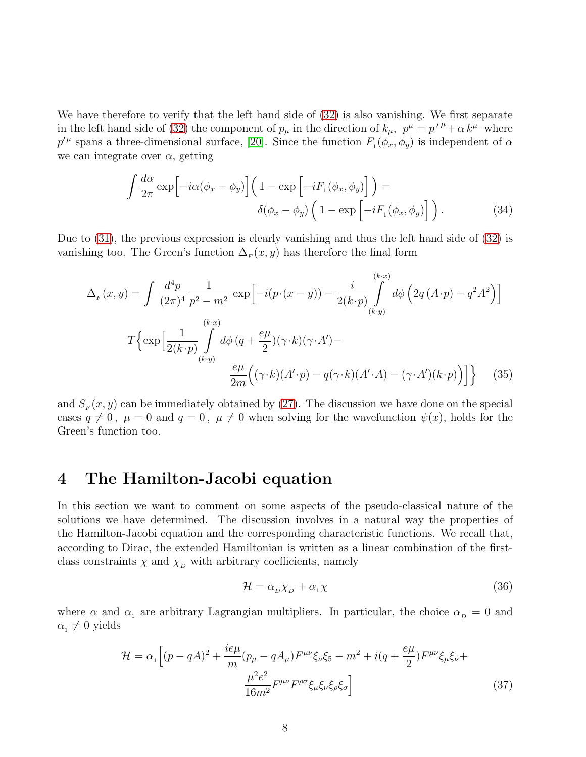We have therefore to verify that the left hand side of  $(32)$  is also vanishing. We first separate in the left hand side of [\(32\)](#page-6-2) the component of  $p_\mu$  in the direction of  $k_\mu$ ,  $p^\mu = p'^{\mu} + \alpha k^\mu$  where  $p'^{\mu}$  spans a three-dimensional surface, [\[20\]](#page-9-14). Since the function  $F_1(\phi_x, \phi_y)$  is independent of  $\alpha$ we can integrate over  $\alpha$ , getting

$$
\int \frac{d\alpha}{2\pi} \exp\left[-i\alpha(\phi_x - \phi_y)\right] \left(1 - \exp\left[-iF_1(\phi_x, \phi_y)\right]\right) =
$$

$$
\delta(\phi_x - \phi_y) \left(1 - \exp\left[-iF_1(\phi_x, \phi_y)\right]\right).
$$
(34)

Due to [\(31\)](#page-6-3), the previous expression is clearly vanishing and thus the left hand side of [\(32\)](#page-6-2) is vanishing too. The Green's function  $\Delta_F(x, y)$  has therefore the final form

$$
\Delta_F(x,y) = \int \frac{d^4p}{(2\pi)^4} \frac{1}{p^2 - m^2} \exp\left[-i(p \cdot (x-y)) - \frac{i}{2(k \cdot p)} \int_{(k \cdot y)}^{(k \cdot x)} d\phi \left(2q \left(A \cdot p\right) - q^2 A^2\right)\right]
$$

$$
T\left\{\exp\left[\frac{1}{2(k \cdot p)} \int_{(k \cdot y)}^{(k \cdot x)} d\phi \left(q + \frac{e\mu}{2}\right) (\gamma \cdot k)(\gamma \cdot A') - \frac{e\mu}{2m} \left((\gamma \cdot k)(A' \cdot p) - q(\gamma \cdot k)(A' \cdot A) - (\gamma \cdot A')(k \cdot p)\right)\right]\right\} \tag{35}
$$

and  $S<sub>F</sub>(x, y)$  can be immediately obtained by [\(27\)](#page-6-4). The discussion we have done on the special cases  $q \neq 0$ ,  $\mu = 0$  and  $q = 0$ ,  $\mu \neq 0$  when solving for the wavefunction  $\psi(x)$ , holds for the Green's function too.

### 4 The Hamilton-Jacobi equation

In this section we want to comment on some aspects of the pseudo-classical nature of the solutions we have determined. The discussion involves in a natural way the properties of the Hamilton-Jacobi equation and the corresponding characteristic functions. We recall that, according to Dirac, the extended Hamiltonian is written as a linear combination of the firstclass constraints  $\chi$  and  $\chi_D$  with arbitrary coefficients, namely

$$
\mathcal{H} = \alpha_{D} \chi_{D} + \alpha_{1} \chi \tag{36}
$$

where  $\alpha$  and  $\alpha_1$  are arbitrary Lagrangian multipliers. In particular, the choice  $\alpha_D = 0$  and  $\alpha_1 \neq 0$  yields

$$
\mathcal{H} = \alpha_1 \Big[ (p - qA)^2 + \frac{ie\mu}{m} (p_\mu - qA_\mu) F^{\mu\nu} \xi_\nu \xi_5 - m^2 + i(q + \frac{e\mu}{2}) F^{\mu\nu} \xi_\mu \xi_\nu + \frac{\mu^2 e^2}{16m^2} F^{\mu\nu} F^{\rho\sigma} \xi_\mu \xi_\nu \xi_\rho \xi_\sigma \Big] \tag{37}
$$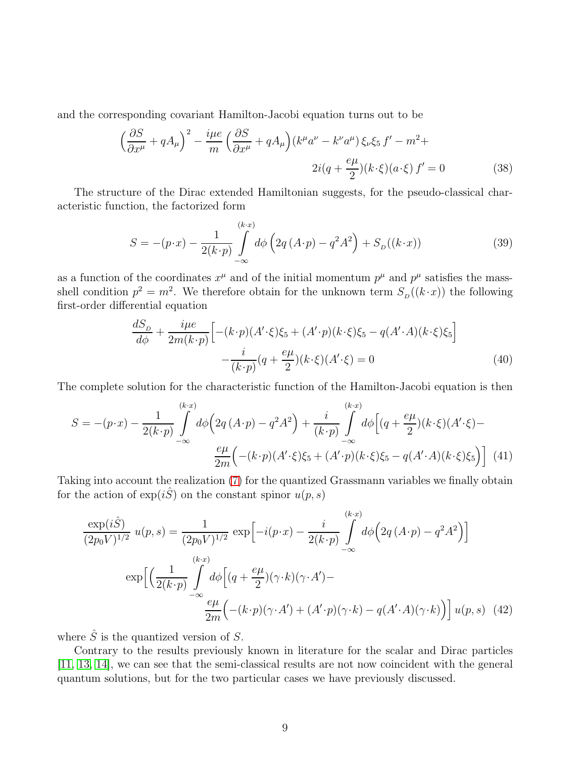and the corresponding covariant Hamilton-Jacobi equation turns out to be

$$
\left(\frac{\partial S}{\partial x^{\mu}} + qA_{\mu}\right)^{2} - \frac{i\mu e}{m}\left(\frac{\partial S}{\partial x^{\mu}} + qA_{\mu}\right)(k^{\mu}a^{\nu} - k^{\nu}a^{\mu})\xi_{\nu}\xi_{5}f' - m^{2} + 2i(q + \frac{e\mu}{2})(k \cdot \xi)(a \cdot \xi)f' = 0
$$
\n(38)

The structure of the Dirac extended Hamiltonian suggests, for the pseudo-classical characteristic function, the factorized form

$$
S = -(p \cdot x) - \frac{1}{2(k \cdot p)} \int_{-\infty}^{(k \cdot x)} d\phi \left( 2q \left( A \cdot p \right) - q^2 A^2 \right) + S_D((k \cdot x)) \tag{39}
$$

as a function of the coordinates  $x^{\mu}$  and of the initial momentum  $p^{\mu}$  and  $p^{\mu}$  satisfies the massshell condition  $p^2 = m^2$ . We therefore obtain for the unknown term  $S_D((k \cdot x))$  the following first-order differential equation

$$
\frac{dS_D}{d\phi} + \frac{i\mu e}{2m(k \cdot p)} \Big[ -(k \cdot p)(A' \cdot \xi)\xi_5 + (A' \cdot p)(k \cdot \xi)\xi_5 - q(A' \cdot A)(k \cdot \xi)\xi_5 \Big] \n- \frac{i}{(k \cdot p)} (q + \frac{e\mu}{2})(k \cdot \xi)(A' \cdot \xi) = 0
$$
\n(40)

The complete solution for the characteristic function of the Hamilton-Jacobi equation is then

$$
S = -(p \cdot x) - \frac{1}{2(k \cdot p)} \int_{-\infty}^{(k \cdot x)} d\phi \left( 2q \left( A \cdot p \right) - q^2 A^2 \right) + \frac{i}{(k \cdot p)} \int_{-\infty}^{(k \cdot x)} d\phi \left[ (q + \frac{e\mu}{2}) (k \cdot \xi) (A' \cdot \xi) - \frac{e\mu}{2m} \left( -(k \cdot p) (A' \cdot \xi) \xi_5 + (A' \cdot p) (k \cdot \xi) \xi_5 - q (A' \cdot A) (k \cdot \xi) \xi_5 \right) \right] (41)
$$

Taking into account the realization [\(7\)](#page-2-2) for the quantized Grassmann variables we finally obtain for the action of  $\exp(i\hat{S})$  on the constant spinor  $u(p, s)$ 

$$
\frac{\exp(i\hat{S})}{(2p_0V)^{1/2}} u(p,s) = \frac{1}{(2p_0V)^{1/2}} \exp\left[-i(p\cdot x) - \frac{i}{2(k\cdot p)} \int_{-\infty}^{(k\cdot x)} d\phi \left(2q\left(A\cdot p\right) - q^2A^2\right)\right]
$$

$$
\exp\left[\left(\frac{1}{2(k\cdot p)} \int_{-\infty}^{(k\cdot x)} d\phi \left[(q+\frac{e\mu}{2})(\gamma\cdot k)(\gamma\cdot A') - \frac{e\mu}{2m}\left(-(k\cdot p)(\gamma\cdot A') + (A'\cdot p)(\gamma\cdot k) - q(A'\cdot A)(\gamma\cdot k)\right)\right]u(p,s) \quad (42)
$$

where  $\hat{S}$  is the quantized version of S.

Contrary to the results previously known in literature for the scalar and Dirac particles [\[11,](#page-9-5) [13,](#page-9-7) [14\]](#page-9-8), we can see that the semi-classical results are not now coincident with the general quantum solutions, but for the two particular cases we have previously discussed.